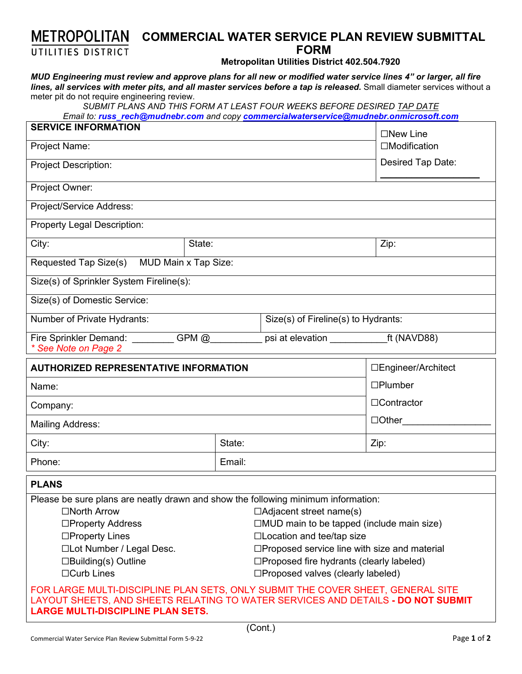## **METROPOLITAN COMMERCIAL WATER SERVICE PLAN REVIEW SUBMITTAL FORM**  UTILITIES DISTRICT

**Metropolitan Utilities District 402.504.7920** 

*MUD Engineering must review and approve plans for all new or modified water service lines 4" or larger, all fire lines, all services with meter pits, and all master services before a tap is released.* Small diameter services without a meter pit do not require engineering review.

*SUBMIT PLANS AND THIS FORM AT LEAST FOUR WEEKS BEFORE DESIRED TAP DATE* 

*Email to: russ\_rech@mudnebr.com and copy commercialwaterservice@mudnebr.onmicrosoft.com*

| <b>SERVICE INFORMATION</b>                                                                                                                                                                                                                                                                                                                                                                                                                                                                                                                                                                                                                                                                                                      |                                     | $\square$ New Line       |
|---------------------------------------------------------------------------------------------------------------------------------------------------------------------------------------------------------------------------------------------------------------------------------------------------------------------------------------------------------------------------------------------------------------------------------------------------------------------------------------------------------------------------------------------------------------------------------------------------------------------------------------------------------------------------------------------------------------------------------|-------------------------------------|--------------------------|
| Project Name:                                                                                                                                                                                                                                                                                                                                                                                                                                                                                                                                                                                                                                                                                                                   |                                     | $\Box$ Modification      |
| <b>Project Description:</b>                                                                                                                                                                                                                                                                                                                                                                                                                                                                                                                                                                                                                                                                                                     |                                     | Desired Tap Date:        |
| Project Owner:                                                                                                                                                                                                                                                                                                                                                                                                                                                                                                                                                                                                                                                                                                                  |                                     |                          |
| Project/Service Address:                                                                                                                                                                                                                                                                                                                                                                                                                                                                                                                                                                                                                                                                                                        |                                     |                          |
| <b>Property Legal Description:</b>                                                                                                                                                                                                                                                                                                                                                                                                                                                                                                                                                                                                                                                                                              |                                     |                          |
| City:<br>State:                                                                                                                                                                                                                                                                                                                                                                                                                                                                                                                                                                                                                                                                                                                 |                                     | Zip:                     |
| MUD Main x Tap Size:<br>Requested Tap Size(s)                                                                                                                                                                                                                                                                                                                                                                                                                                                                                                                                                                                                                                                                                   |                                     |                          |
| Size(s) of Sprinkler System Fireline(s):                                                                                                                                                                                                                                                                                                                                                                                                                                                                                                                                                                                                                                                                                        |                                     |                          |
| Size(s) of Domestic Service:                                                                                                                                                                                                                                                                                                                                                                                                                                                                                                                                                                                                                                                                                                    |                                     |                          |
| Number of Private Hydrants:                                                                                                                                                                                                                                                                                                                                                                                                                                                                                                                                                                                                                                                                                                     | Size(s) of Fireline(s) to Hydrants: |                          |
| Fire Sprinkler Demand:<br>$GPM$ $@$<br>See Note on Page 2                                                                                                                                                                                                                                                                                                                                                                                                                                                                                                                                                                                                                                                                       | psi at elevation                    | $\overline{ft}$ (NAVD88) |
| <b>AUTHORIZED REPRESENTATIVE INFORMATION</b>                                                                                                                                                                                                                                                                                                                                                                                                                                                                                                                                                                                                                                                                                    |                                     | □Engineer/Architect      |
| Name:                                                                                                                                                                                                                                                                                                                                                                                                                                                                                                                                                                                                                                                                                                                           |                                     | $\square$ Plumber        |
| Company:                                                                                                                                                                                                                                                                                                                                                                                                                                                                                                                                                                                                                                                                                                                        |                                     | □Contractor              |
| <b>Mailing Address:</b>                                                                                                                                                                                                                                                                                                                                                                                                                                                                                                                                                                                                                                                                                                         |                                     | $\Box$ Other             |
| City:                                                                                                                                                                                                                                                                                                                                                                                                                                                                                                                                                                                                                                                                                                                           | State:                              | Zip:                     |
| Phone:                                                                                                                                                                                                                                                                                                                                                                                                                                                                                                                                                                                                                                                                                                                          | Email:                              |                          |
| <b>PLANS</b>                                                                                                                                                                                                                                                                                                                                                                                                                                                                                                                                                                                                                                                                                                                    |                                     |                          |
| Please be sure plans are neatly drawn and show the following minimum information:<br>$\Box$ North Arrow<br>$\Box$ Adjacent street name(s)<br>$\Box$ MUD main to be tapped (include main size)<br>□Property Address<br>□Location and tee/tap size<br>$\square$ Property Lines<br>□Lot Number / Legal Desc.<br>□Proposed service line with size and material<br>$\square$ Proposed fire hydrants (clearly labeled)<br>$\square$ Building(s) Outline<br>$\Box$ Curb Lines<br>□Proposed valves (clearly labeled)<br>FOR LARGE MULTI-DISCIPLINE PLAN SETS, ONLY SUBMIT THE COVER SHEET, GENERAL SITE<br>LAYOUT SHEETS, AND SHEETS RELATING TO WATER SERVICES AND DETAILS - DO NOT SUBMIT<br><b>LARGE MULTI-DISCIPLINE PLAN SETS.</b> |                                     |                          |